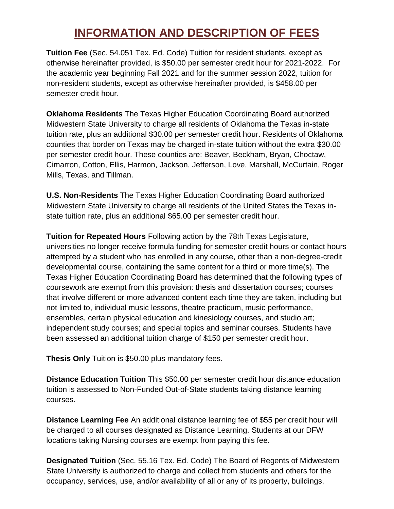## **INFORMATION AND DESCRIPTION OF FEES**

**Tuition Fee** (Sec. 54.051 Tex. Ed. Code) Tuition for resident students, except as otherwise hereinafter provided, is \$50.00 per semester credit hour for 2021-2022. For the academic year beginning Fall 2021 and for the summer session 2022, tuition for non-resident students, except as otherwise hereinafter provided, is \$458.00 per semester credit hour.

**Oklahoma Residents** The Texas Higher Education Coordinating Board authorized Midwestern State University to charge all residents of Oklahoma the Texas in-state tuition rate, plus an additional \$30.00 per semester credit hour. Residents of Oklahoma counties that border on Texas may be charged in-state tuition without the extra \$30.00 per semester credit hour. These counties are: Beaver, Beckham, Bryan, Choctaw, Cimarron, Cotton, Ellis, Harmon, Jackson, Jefferson, Love, Marshall, McCurtain, Roger Mills, Texas, and Tillman.

**U.S. Non-Residents** The Texas Higher Education Coordinating Board authorized Midwestern State University to charge all residents of the United States the Texas instate tuition rate, plus an additional \$65.00 per semester credit hour.

**Tuition for Repeated Hours** Following action by the 78th Texas Legislature, universities no longer receive formula funding for semester credit hours or contact hours attempted by a student who has enrolled in any course, other than a non-degree-credit developmental course, containing the same content for a third or more time(s). The Texas Higher Education Coordinating Board has determined that the following types of coursework are exempt from this provision: thesis and dissertation courses; courses that involve different or more advanced content each time they are taken, including but not limited to, individual music lessons, theatre practicum, music performance, ensembles, certain physical education and kinesiology courses, and studio art; independent study courses; and special topics and seminar courses. Students have been assessed an additional tuition charge of \$150 per semester credit hour.

**Thesis Only** Tuition is \$50.00 plus mandatory fees.

**Distance Education Tuition** This \$50.00 per semester credit hour distance education tuition is assessed to Non-Funded Out-of-State students taking distance learning courses.

**Distance Learning Fee** An additional distance learning fee of \$55 per credit hour will be charged to all courses designated as Distance Learning. Students at our DFW locations taking Nursing courses are exempt from paying this fee.

**Designated Tuition** (Sec. 55.16 Tex. Ed. Code) The Board of Regents of Midwestern State University is authorized to charge and collect from students and others for the occupancy, services, use, and/or availability of all or any of its property, buildings,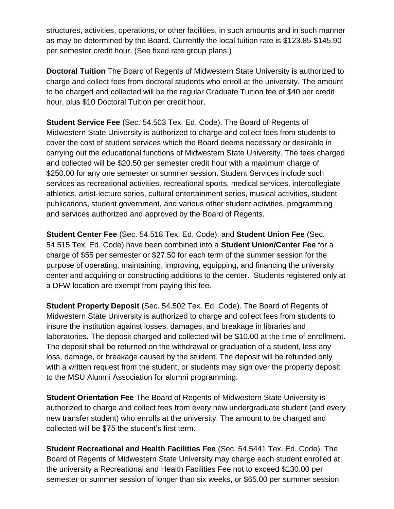structures, activities, operations, or other facilities, in such amounts and in such manner as may be determined by the Board. Currently the local tuition rate is \$123.85-\$145.90 per semester credit hour. (See fixed rate group plans.)

**Doctoral Tuition** The Board of Regents of Midwestern State University is authorized to charge and collect fees from doctoral students who enroll at the university. The amount to be charged and collected will be the regular Graduate Tuition fee of \$40 per credit hour, plus \$10 Doctoral Tuition per credit hour.

**Student Service Fee** (Sec. 54.503 Tex. Ed. Code). The Board of Regents of Midwestern State University is authorized to charge and collect fees from students to cover the cost of student services which the Board deems necessary or desirable in carrying out the educational functions of Midwestern State University. The fees charged and collected will be \$20.50 per semester credit hour with a maximum charge of \$250.00 for any one semester or summer session. Student Services include such services as recreational activities, recreational sports, medical services, intercollegiate athletics, artist-lecture series, cultural entertainment series, musical activities, student publications, student government, and various other student activities, programming and services authorized and approved by the Board of Regents.

**Student Center Fee** (Sec. 54.518 Tex. Ed. Code). and **Student Union Fee** (Sec. 54.515 Tex. Ed. Code) have been combined into a **Student Union/Center Fee** for a charge of \$55 per semester or \$27.50 for each term of the summer session for the purpose of operating, maintaining, improving, equipping, and financing the university center and acquiring or constructing additions to the center. Students registered only at a DFW location are exempt from paying this fee.

**Student Property Deposit** (Sec. 54.502 Tex. Ed. Code). The Board of Regents of Midwestern State University is authorized to charge and collect fees from students to insure the institution against losses, damages, and breakage in libraries and laboratories. The deposit charged and collected will be \$10.00 at the time of enrollment. The deposit shall be returned on the withdrawal or graduation of a student, less any loss, damage, or breakage caused by the student. The deposit will be refunded only with a written request from the student, or students may sign over the property deposit to the MSU Alumni Association for alumni programming.

**Student Orientation Fee** The Board of Regents of Midwestern State University is authorized to charge and collect fees from every new undergraduate student (and every new transfer student) who enrolls at the university. The amount to be charged and collected will be \$75 the student's first term.

**Student Recreational and Health Facilities Fee** (Sec. 54.5441 Tex. Ed. Code). The Board of Regents of Midwestern State University may charge each student enrolled at the university a Recreational and Health Facilities Fee not to exceed \$130.00 per semester or summer session of longer than six weeks, or \$65.00 per summer session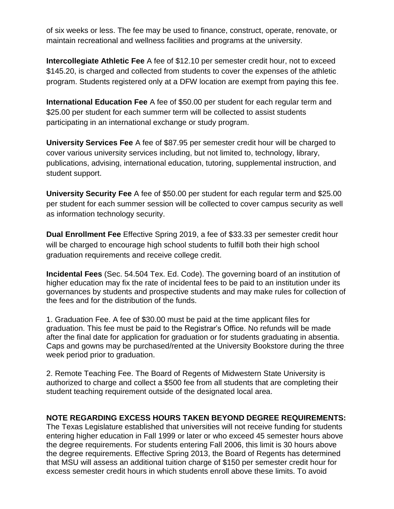of six weeks or less. The fee may be used to finance, construct, operate, renovate, or maintain recreational and wellness facilities and programs at the university.

**Intercollegiate Athletic Fee** A fee of \$12.10 per semester credit hour, not to exceed \$145.20, is charged and collected from students to cover the expenses of the athletic program. Students registered only at a DFW location are exempt from paying this fee.

**International Education Fee** A fee of \$50.00 per student for each regular term and \$25.00 per student for each summer term will be collected to assist students participating in an international exchange or study program.

**University Services Fee** A fee of \$87.95 per semester credit hour will be charged to cover various university services including, but not limited to, technology, library, publications, advising, international education, tutoring, supplemental instruction, and student support.

**University Security Fee** A fee of \$50.00 per student for each regular term and \$25.00 per student for each summer session will be collected to cover campus security as well as information technology security.

**Dual Enrollment Fee** Effective Spring 2019, a fee of \$33.33 per semester credit hour will be charged to encourage high school students to fulfill both their high school graduation requirements and receive college credit.

**Incidental Fees** (Sec. 54.504 Tex. Ed. Code). The governing board of an institution of higher education may fix the rate of incidental fees to be paid to an institution under its governances by students and prospective students and may make rules for collection of the fees and for the distribution of the funds.

1. Graduation Fee. A fee of \$30.00 must be paid at the time applicant files for graduation. This fee must be paid to the Registrar's Office. No refunds will be made after the final date for application for graduation or for students graduating in absentia. Caps and gowns may be purchased/rented at the University Bookstore during the three week period prior to graduation.

2. Remote Teaching Fee. The Board of Regents of Midwestern State University is authorized to charge and collect a \$500 fee from all students that are completing their student teaching requirement outside of the designated local area.

## **NOTE REGARDING EXCESS HOURS TAKEN BEYOND DEGREE REQUIREMENTS:**

The Texas Legislature established that universities will not receive funding for students entering higher education in Fall 1999 or later or who exceed 45 semester hours above the degree requirements. For students entering Fall 2006, this limit is 30 hours above the degree requirements. Effective Spring 2013, the Board of Regents has determined that MSU will assess an additional tuition charge of \$150 per semester credit hour for excess semester credit hours in which students enroll above these limits. To avoid